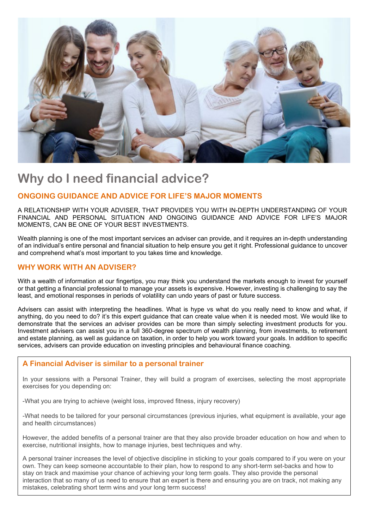

# **Why do I need financial advice?**

### **ONGOING GUIDANCE AND ADVICE FOR LIFE'S MAJOR MOMENTS**

A RELATIONSHIP WITH YOUR ADVISER, THAT PROVIDES YOU WITH IN-DEPTH UNDERSTANDING OF YOUR FINANCIAL AND PERSONAL SITUATION AND ONGOING GUIDANCE AND ADVICE FOR LIFE'S MAJOR MOMENTS, CAN BE ONE OF YOUR BEST INVESTMENTS.

Wealth planning is one of the most important services an adviser can provide, and it requires an in-depth understanding of an individual's entire personal and financial situation to help ensure you get it right. Professional guidance to uncover and comprehend what's most important to you takes time and knowledge.

## **WHY WORK WITH AN ADVISER?**

With a wealth of information at our fingertips, you may think you understand the markets enough to invest for yourself or that getting a financial professional to manage your assets is expensive. However, investing is challenging to say the least, and emotional responses in periods of volatility can undo years of past or future success.

Advisers can assist with interpreting the headlines. What is hype vs what do you really need to know and what, if anything, do you need to do? it's this expert guidance that can create value when it is needed most. We would like to demonstrate that the services an adviser provides can be more than simply selecting investment products for you. Investment advisers can assist you in a full 360-degree spectrum of wealth planning, from investments, to retirement and estate planning, as well as guidance on taxation, in order to help you work toward your goals. In addition to specific services, advisers can provide education on investing principles and behavioural finance coaching.

#### **A Financial Adviser is similar to a personal trainer**

In your sessions with a Personal Trainer, they will build a program of exercises, selecting the most appropriate exercises for you depending on:

-What you are trying to achieve (weight loss, improved fitness, injury recovery)

-What needs to be tailored for your personal circumstances (previous injuries, what equipment is available, your age and health circumstances)

However, the added benefits of a personal trainer are that they also provide broader education on how and when to exercise, nutritional insights, how to manage injuries, best techniques and why.

A personal trainer increases the level of objective discipline in sticking to your goals compared to if you were on your own. They can keep someone accountable to their plan, how to respond to any short-term set-backs and how to stay on track and maximise your chance of achieving your long term goals. They also provide the personal interaction that so many of us need to ensure that an expert is there and ensuring you are on track, not making any mistakes, celebrating short term wins and your long term success!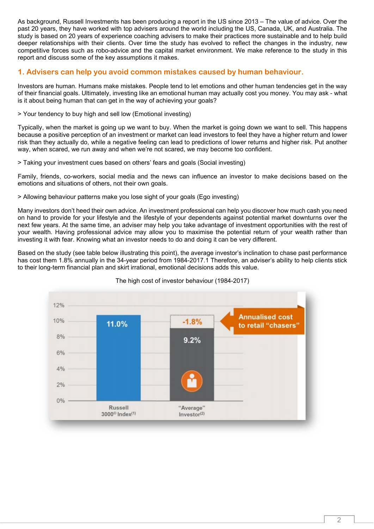As background, Russell Investments has been producing a report in the US since 2013 – The value of advice. Over the past 20 years, they have worked with top advisers around the world including the US, Canada, UK, and Australia. The study is based on 20 years of experience coaching advisers to make their practices more sustainable and to help build deeper relationships with their clients. Over time the study has evolved to reflect the changes in the industry, new competitive forces such as robo-advice and the capital market environment. We make reference to the study in this report and discuss some of the key assumptions it makes.

### **1. Advisers can help you avoid common mistakes caused by human behaviour.**

Investors are human. Humans make mistakes. People tend to let emotions and other human tendencies get in the way of their financial goals. Ultimately, investing like an emotional human may actually cost you money. You may ask - what is it about being human that can get in the way of achieving your goals?

> Your tendency to buy high and sell low (Emotional investing)

Typically, when the market is going up we want to buy. When the market is going down we want to sell. This happens because a positive perception of an investment or market can lead investors to feel they have a higher return and lower risk than they actually do, while a negative feeling can lead to predictions of lower returns and higher risk. Put another way, when scared, we run away and when we're not scared, we may become too confident.

> Taking your investment cues based on others' fears and goals (Social investing)

Family, friends, co-workers, social media and the news can influence an investor to make decisions based on the emotions and situations of others, not their own goals.

> Allowing behaviour patterns make you lose sight of your goals (Ego investing)

Many investors don't heed their own advice. An investment professional can help you discover how much cash you need on hand to provide for your lifestyle and the lifestyle of your dependents against potential market downturns over the next few years. At the same time, an adviser may help you take advantage of investment opportunities with the rest of your wealth. Having professional advice may allow you to maximise the potential return of your wealth rather than investing it with fear. Knowing what an investor needs to do and doing it can be very different.

Based on the study (see table below illustrating this point), the average investor's inclination to chase past performance has cost them 1.8% annually in the 34-year period from 1984-2017.1 Therefore, an adviser's ability to help clients stick to their long-term financial plan and skirt irrational, emotional decisions adds this value.



#### The high cost of investor behaviour (1984-2017)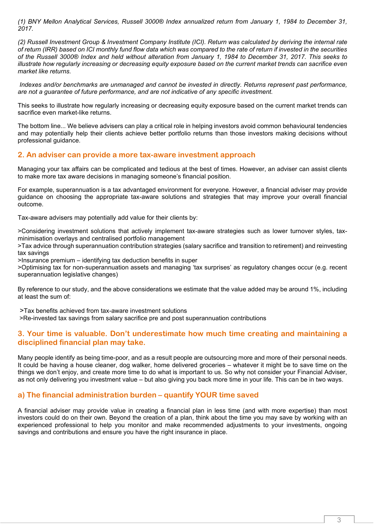*(1) BNY Mellon Analytical Services, Russell 3000® Index annualized return from January 1, 1984 to December 31, 2017.*

*(2) Russell Investment Group & Investment Company Institute (ICI). Return was calculated by deriving the internal rate of return (IRR) based on ICI monthly fund flow data which was compared to the rate of return if invested in the securities of the Russell 3000® Index and held without alteration from January 1, 1984 to December 31, 2017. This seeks to illustrate how regularly increasing or decreasing equity exposure based on the current market trends can sacrifice even market like returns.*

*Indexes and/or benchmarks are unmanaged and cannot be invested in directly. Returns represent past performance, are not a guarantee of future performance, and are not indicative of any specific investment.* 

This seeks to illustrate how regularly increasing or decreasing equity exposure based on the current market trends can sacrifice even market-like returns.

The bottom line... We believe advisers can play a critical role in helping investors avoid common behavioural tendencies and may potentially help their clients achieve better portfolio returns than those investors making decisions without professional guidance.

#### **2. An adviser can provide a more tax-aware investment approach**

Managing your tax affairs can be complicated and tedious at the best of times. However, an adviser can assist clients to make more tax aware decisions in managing someone's financial position.

For example, superannuation is a tax advantaged environment for everyone. However, a financial adviser may provide guidance on choosing the appropriate tax-aware solutions and strategies that may improve your overall financial outcome.

Tax-aware advisers may potentially add value for their clients by:

>Considering investment solutions that actively implement tax-aware strategies such as lower turnover styles, taxminimisation overlays and centralised portfolio management

>Tax advice through superannuation contribution strategies (salary sacrifice and transition to retirement) and reinvesting tax savings

>Insurance premium – identifying tax deduction benefits in super

>Optimising tax for non-superannuation assets and managing 'tax surprises' as regulatory changes occur (e.g. recent superannuation legislative changes)

By reference to our study, and the above considerations we estimate that the value added may be around 1%, including at least the sum of:

>Tax benefits achieved from tax-aware investment solutions

>Re-invested tax savings from salary sacrifice pre and post superannuation contributions

#### **3. Your time is valuable. Don't underestimate how much time creating and maintaining a disciplined financial plan may take.**

Many people identify as being time-poor, and as a result people are outsourcing more and more of their personal needs. It could be having a house cleaner, dog walker, home delivered groceries – whatever it might be to save time on the things we don't enjoy, and create more time to do what is important to us. So why not consider your Financial Adviser, as not only delivering you investment value – but also giving you back more time in your life. This can be in two ways.

#### **a) The financial administration burden – quantify YOUR time saved**

A financial adviser may provide value in creating a financial plan in less time (and with more expertise) than most investors could do on their own. Beyond the creation of a plan, think about the time you may save by working with an experienced professional to help you monitor and make recommended adjustments to your investments, ongoing savings and contributions and ensure you have the right insurance in place.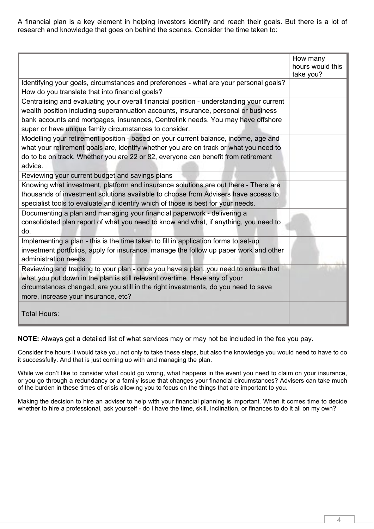A financial plan is a key element in helping investors identify and reach their goals. But there is a lot of research and knowledge that goes on behind the scenes. Consider the time taken to:

|                                                                                          | How many         |
|------------------------------------------------------------------------------------------|------------------|
|                                                                                          | hours would this |
|                                                                                          | take you?        |
| Identifying your goals, circumstances and preferences - what are your personal goals?    |                  |
| How do you translate that into financial goals?                                          |                  |
| Centralising and evaluating your overall financial position - understanding your current |                  |
| wealth position including superannuation accounts, insurance, personal or business       |                  |
| bank accounts and mortgages, insurances, Centrelink needs. You may have offshore         |                  |
| super or have unique family circumstances to consider.                                   |                  |
| Modelling your retirement position - based on your current balance, income, age and      |                  |
| what your retirement goals are, identify whether you are on track or what you need to    |                  |
| do to be on track. Whether you are 22 or 82, everyone can benefit from retirement        |                  |
| advice.                                                                                  |                  |
| Reviewing your current budget and savings plans                                          |                  |
| Knowing what investment, platform and insurance solutions are out there - There are      |                  |
| thousands of investment solutions available to choose from Advisers have access to       |                  |
| specialist tools to evaluate and identify which of those is best for your needs.         |                  |
| Documenting a plan and managing your financial paperwork - delivering a                  |                  |
| consolidated plan report of what you need to know and what, if anything, you need to     |                  |
| do.                                                                                      |                  |
| Implementing a plan - this is the time taken to fill in application forms to set-up      |                  |
| investment portfolios, apply for insurance, manage the follow up paper work and other    |                  |
| administration needs.                                                                    |                  |
| Reviewing and tracking to your plan - once you have a plan, you need to ensure that      |                  |
| what you put down in the plan is still relevant overtime. Have any of your               |                  |
| circumstances changed, are you still in the right investments, do you need to save       |                  |
| more, increase your insurance, etc?                                                      |                  |
|                                                                                          |                  |
| Total Hours:                                                                             |                  |
|                                                                                          |                  |

**NOTE:** Always get a detailed list of what services may or may not be included in the fee you pay.

Consider the hours it would take you not only to take these steps, but also the knowledge you would need to have to do it successfully. And that is just coming up with and managing the plan.

While we don't like to consider what could go wrong, what happens in the event you need to claim on your insurance, or you go through a redundancy or a family issue that changes your financial circumstances? Advisers can take much of the burden in these times of crisis allowing you to focus on the things that are important to you.

Making the decision to hire an adviser to help with your financial planning is important. When it comes time to decide whether to hire a professional, ask yourself - do I have the time, skill, inclination, or finances to do it all on my own?